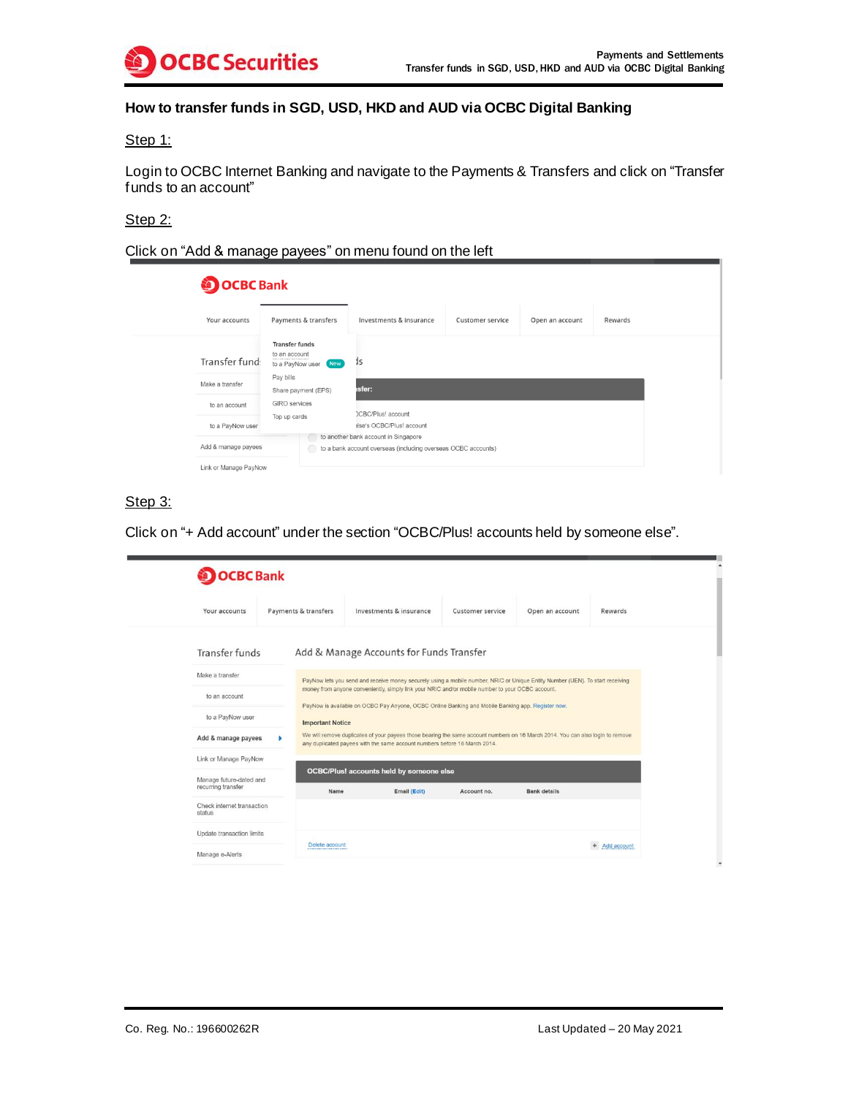

# **How to transfer funds in SGD, USD, HKD and AUD via OCBC Digital Banking**

#### Step 1:

Login to OCBC Internet Banking and navigate to the Payments & Transfers and click on "Transfer funds to an account"

#### Step 2:

Click on "Add & manage payees" on menu found on the left

| <b>OCBC</b> Bank      |                                                                |                                                                                                       |                  |                 |         |
|-----------------------|----------------------------------------------------------------|-------------------------------------------------------------------------------------------------------|------------------|-----------------|---------|
| Your accounts         | Payments & transfers                                           | Investments & insurance                                                                               | Customer service | Open an account | Rewards |
| Transfer fund:        | <b>Transfer funds</b><br>to an account<br>to a PayNow user New | 1s                                                                                                    |                  |                 |         |
| Make a transfer       | Pay bills<br>Share payment (EPS)                               | sfer:                                                                                                 |                  |                 |         |
| to an account         | <b>GIRO</b> services                                           |                                                                                                       |                  |                 |         |
| to a PayNow user      | Top up cards                                                   | <b>DCBC/Plus!</b> account<br>alse's OCBC/Plus! account                                                |                  |                 |         |
| Add & manage payees   |                                                                | to another bank account in Singapore<br>to a bank account overseas (including overseas OCBC accounts) |                  |                 |         |
| Link or Manage PayNow |                                                                |                                                                                                       |                  |                 |         |

## Step 3:

Click on "+ Add account" under the section "OCBC/Plus! accounts held by someone else".

| Your accounts                        |  | Payments & transfers                                                                                                                                                                                                              | Investments & insurance                                                                           |  | Customer service | Open an account                                                                                                                | Rewards     |  |
|--------------------------------------|--|-----------------------------------------------------------------------------------------------------------------------------------------------------------------------------------------------------------------------------------|---------------------------------------------------------------------------------------------------|--|------------------|--------------------------------------------------------------------------------------------------------------------------------|-------------|--|
| Transfer funds                       |  |                                                                                                                                                                                                                                   | Add & Manage Accounts for Funds Transfer                                                          |  |                  |                                                                                                                                |             |  |
| Make a transfer                      |  |                                                                                                                                                                                                                                   |                                                                                                   |  |                  |                                                                                                                                |             |  |
| to an account                        |  | PayNow lets you send and receive money securely using a mobile number, NRIC or Unique Entity Number (UEN). To start receiving<br>money from anyone conveniently, simply link your NRIC and/or mobile number to your OCBC account. |                                                                                                   |  |                  |                                                                                                                                |             |  |
| to a PayNow user                     |  | <b>Important Notice</b>                                                                                                                                                                                                           | PayNow is available on OCBC Pay Anyone, OCBC Online Banking and Mobile Banking app. Register now. |  |                  |                                                                                                                                |             |  |
| Add & manage payees                  |  |                                                                                                                                                                                                                                   | any duplicated payees with the same account numbers before 16 March 2014.                         |  |                  | We will remove duplicates of your payees those bearing the same account numbers on 16 March 2014. You can also login to remove |             |  |
| Link or Manage PayNow                |  |                                                                                                                                                                                                                                   |                                                                                                   |  |                  |                                                                                                                                |             |  |
| Manage future-dated and              |  |                                                                                                                                                                                                                                   | <b>OCBC/Plus!</b> accounts held by someone else                                                   |  |                  |                                                                                                                                |             |  |
| recurring transfer                   |  | Name                                                                                                                                                                                                                              | Email (Edit)                                                                                      |  | Account no.      | <b>Bank details</b>                                                                                                            |             |  |
| Check internet transaction<br>status |  |                                                                                                                                                                                                                                   |                                                                                                   |  |                  |                                                                                                                                |             |  |
| Update transaction limits            |  |                                                                                                                                                                                                                                   |                                                                                                   |  |                  |                                                                                                                                |             |  |
|                                      |  | Delete account                                                                                                                                                                                                                    |                                                                                                   |  |                  |                                                                                                                                | Add account |  |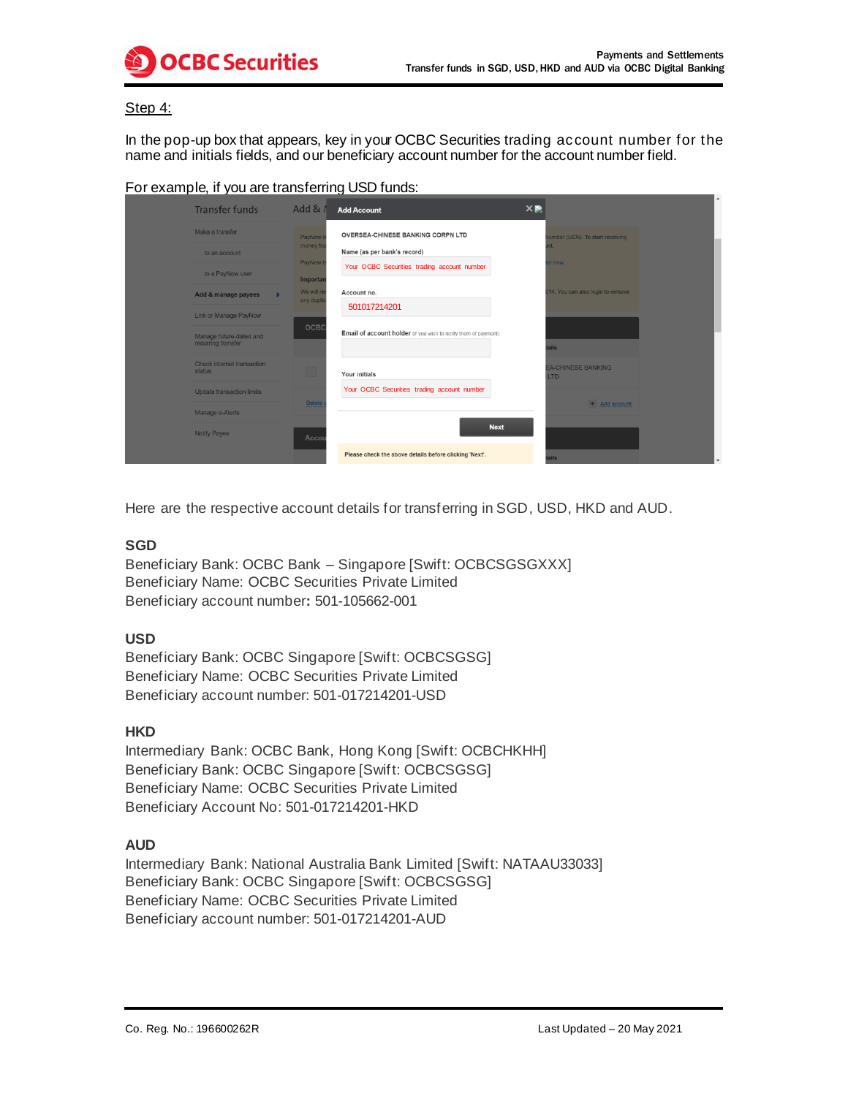

#### Step 4:

In the pop-up box that appears, key in your OCBC Securities trading account number for the name and initials fields, and our beneficiary account number for the account number field.

| For example, if you are transferring USD funds: |
|-------------------------------------------------|
|-------------------------------------------------|

| <b>Transfer funds</b>                         | Add $&$ $\prime$        | <b>Add Account</b>                                              | $\times$ |                                         |  |
|-----------------------------------------------|-------------------------|-----------------------------------------------------------------|----------|-----------------------------------------|--|
| Make a transfer                               | PayNow I                | <b>OVERSEA-CHINESE BANKING CORPN LTD</b>                        |          | umber (UEN). To start receiving         |  |
| to an account                                 | money fro               | Name (as per bank's record)                                     |          |                                         |  |
| to a PayNow user                              | PayNow i<br>Importan    | Your OCBC Securities trading account number                     |          | r now.                                  |  |
| Add & manage payees                           | We will re<br>any dupli | Account no.                                                     |          | 014. You can also login to remove       |  |
| Link or Manage PayNow                         |                         | 501017214201                                                    |          |                                         |  |
| Manage future-dated and<br>recurring transfer | OCBC                    | Email of account holder (if you wish to notify them of payment) |          | <b>alie</b>                             |  |
| Check internet transaction<br>status          |                         | Your initials                                                   |          | <b>EA-CHINESE BANKING</b><br><b>LTD</b> |  |
| Update transaction limits                     |                         | Your OCBC Securities trading account number                     |          |                                         |  |
| Manage e-Alerts                               | <b>Delete</b>           |                                                                 |          | $+$ Add account                         |  |
| Notify Payee                                  | Accou                   | <b>Next</b>                                                     |          |                                         |  |
|                                               |                         | Please check the above details before clicking 'Next'.          |          | ils.                                    |  |

Here are the respective account details for transferring in SGD, USD, HKD and AUD.

### **SGD**

Beneficiary Bank: OCBC Bank – Singapore [Swift: OCBCSGSGXXX] Beneficiary Name: OCBC Securities Private Limited Beneficiary account number**:** 501-105662-001

#### **USD**

Beneficiary Bank: OCBC Singapore [Swift: OCBCSGSG] Beneficiary Name: OCBC Securities Private Limited Beneficiary account number: 501-017214201-USD

#### **HKD**

Intermediary Bank: OCBC Bank, Hong Kong [Swift: OCBCHKHH] Beneficiary Bank: OCBC Singapore [Swift: OCBCSGSG] Beneficiary Name: OCBC Securities Private Limited Beneficiary Account No: 501-017214201-HKD

# **AUD**

Intermediary Bank: National Australia Bank Limited [Swift: NATAAU33033] Beneficiary Bank: OCBC Singapore [Swift: OCBCSGSG] Beneficiary Name: OCBC Securities Private Limited Beneficiary account number: 501-017214201-AUD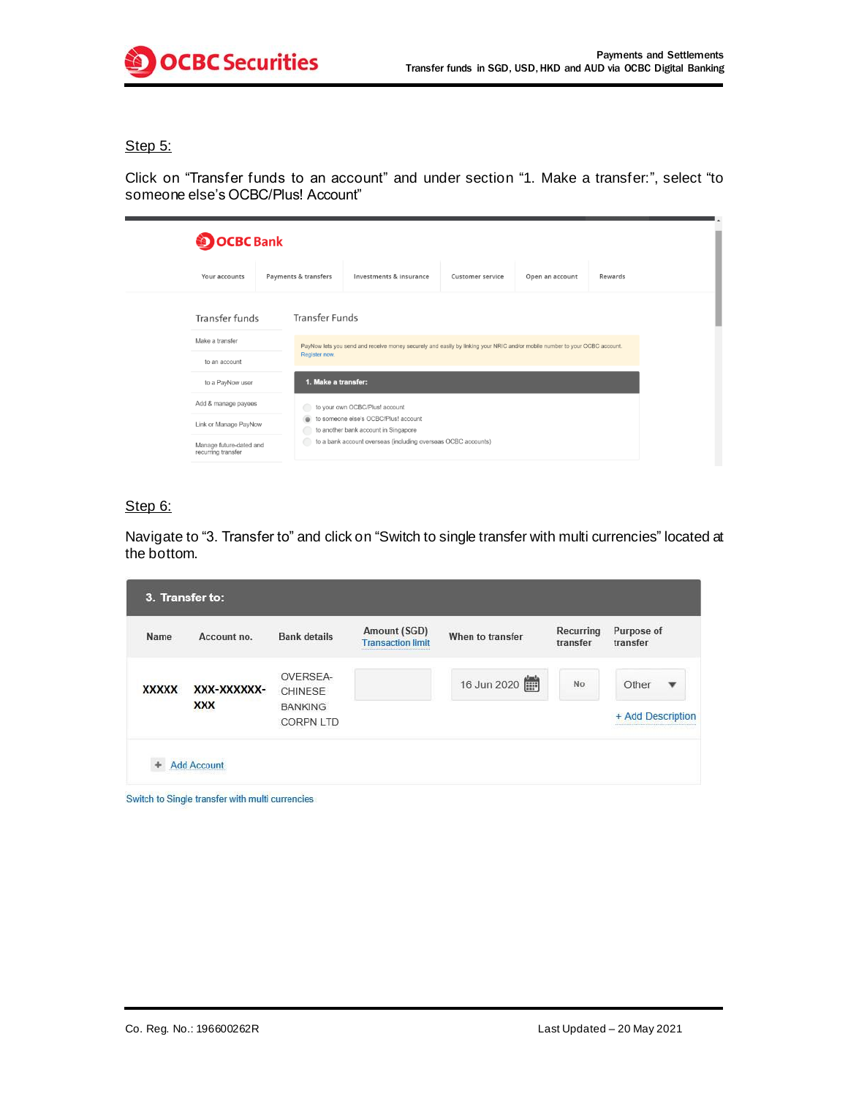

### Step 5:

Click on "Transfer funds to an account" and under section "1. Make a transfer:", select "to someone else's OCBC/Plus! Account"

| <b>OCBC</b> Bank                              |  |                                                                                                                            |                                                                              |                  |                 |         |  |  |
|-----------------------------------------------|--|----------------------------------------------------------------------------------------------------------------------------|------------------------------------------------------------------------------|------------------|-----------------|---------|--|--|
| Your accounts                                 |  | Payments & transfers                                                                                                       | Investments & insurance                                                      | Customer service | Open an account | Rewards |  |  |
| Transfer funds                                |  | <b>Transfer Funds</b>                                                                                                      |                                                                              |                  |                 |         |  |  |
| Make a transfer<br>to an account              |  | PayNow lets you send and receive money securely and easily by linking your NRIC and/or mobile number to your OCBC account. |                                                                              |                  |                 |         |  |  |
|                                               |  | Register now.                                                                                                              |                                                                              |                  |                 |         |  |  |
| to a PayNow user                              |  | 1. Make a transfer:                                                                                                        |                                                                              |                  |                 |         |  |  |
| Add & manage payees                           |  | to your own OCBC/Plus! account                                                                                             |                                                                              |                  |                 |         |  |  |
| Link or Manage PayNow                         |  |                                                                                                                            | to someone else's OCBC/Plus! account<br>to another bank account in Singapore |                  |                 |         |  |  |
| Manage future-dated and<br>recurring transfer |  |                                                                                                                            | to a bank account overseas (including overseas OCBC accounts)                |                  |                 |         |  |  |

## Step 6:

Navigate to "3. Transfer to" and click on "Switch to single transfer with multi currencies" located at the bottom.

| Name         | Account no. | <b>Bank details</b>                | Amount (SGD)<br><b>Transaction limit</b> | When to transfer | Recurring<br>transfer | Purpose of<br>transfer             |
|--------------|-------------|------------------------------------|------------------------------------------|------------------|-----------------------|------------------------------------|
| <b>XXXXX</b> | XXX-XXXXXX- | OVERSEA-<br>CHINESE                |                                          | 16 Jun 2020      | No.                   | Other<br>$\boldsymbol{\mathrm{v}}$ |
|              | <b>XXX</b>  | <b>BANKING</b><br><b>CORPN LTD</b> |                                          |                  |                       | + Add Description                  |

Switch to Single transfer with multi currencies